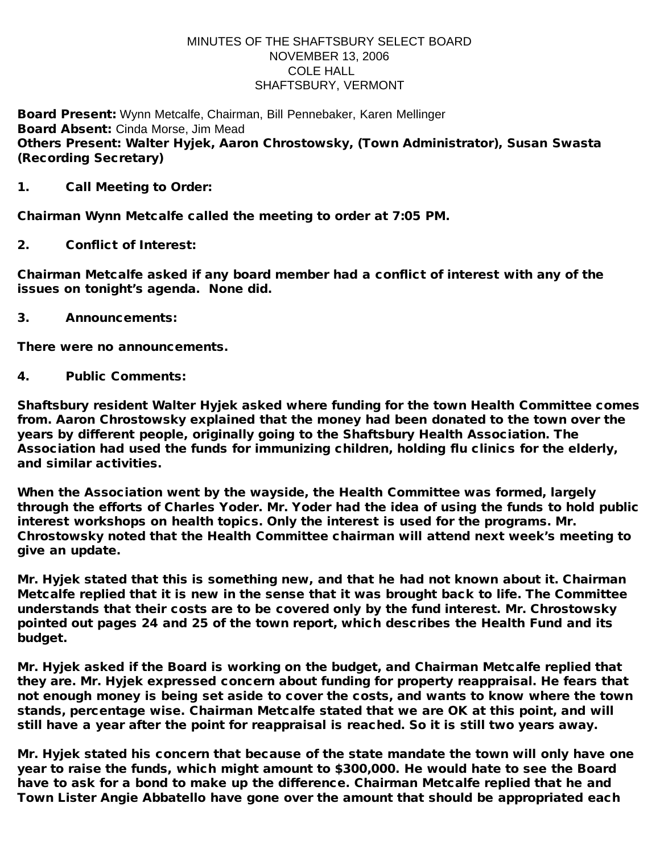## MINUTES OF THE SHAFTSBURY SELECT BOARD NOVEMBER 13, 2006 COLE HALL SHAFTSBURY, VERMONT

Board Present: Wynn Metcalfe, Chairman, Bill Pennebaker, Karen Mellinger Board Absent: Cinda Morse, Jim Mead Others Present: Walter Hyjek, Aaron Chrostowsky, (Town Administrator), Susan Swasta (Recording Secretary)

1. Call Meeting to Order:

Chairman Wynn Metcalfe called the meeting to order at 7:05 PM.

2. Conflict of Interest:

Chairman Metcalfe asked if any board member had a conflict of interest with any of the issues on tonight's agenda. None did.

3. Announcements:

There were no announcements.

4. Public Comments:

Shaftsbury resident Walter Hyjek asked where funding for the town Health Committee comes from. Aaron Chrostowsky explained that the money had been donated to the town over the years by different people, originally going to the Shaftsbury Health Association. The Association had used the funds for immunizing children, holding flu clinics for the elderly, and similar activities.

When the Association went by the wayside, the Health Committee was formed, largely through the efforts of Charles Yoder. Mr. Yoder had the idea of using the funds to hold public interest workshops on health topics. Only the interest is used for the programs. Mr. Chrostowsky noted that the Health Committee chairman will attend next week's meeting to give an update.

Mr. Hyjek stated that this is something new, and that he had not known about it. Chairman Metcalfe replied that it is new in the sense that it was brought back to life. The Committee understands that their costs are to be covered only by the fund interest. Mr. Chrostowsky pointed out pages 24 and 25 of the town report, which describes the Health Fund and its budget.

Mr. Hyjek asked if the Board is working on the budget, and Chairman Metcalfe replied that they are. Mr. Hyjek expressed concern about funding for property reappraisal. He fears that not enough money is being set aside to cover the costs, and wants to know where the town stands, percentage wise. Chairman Metcalfe stated that we are OK at this point, and will still have a year after the point for reappraisal is reached. So it is still two years away.

Mr. Hyjek stated his concern that because of the state mandate the town will only have one year to raise the funds, which might amount to \$300,000. He would hate to see the Board have to ask for a bond to make up the difference. Chairman Metcalfe replied that he and Town Lister Angie Abbatello have gone over the amount that should be appropriated each